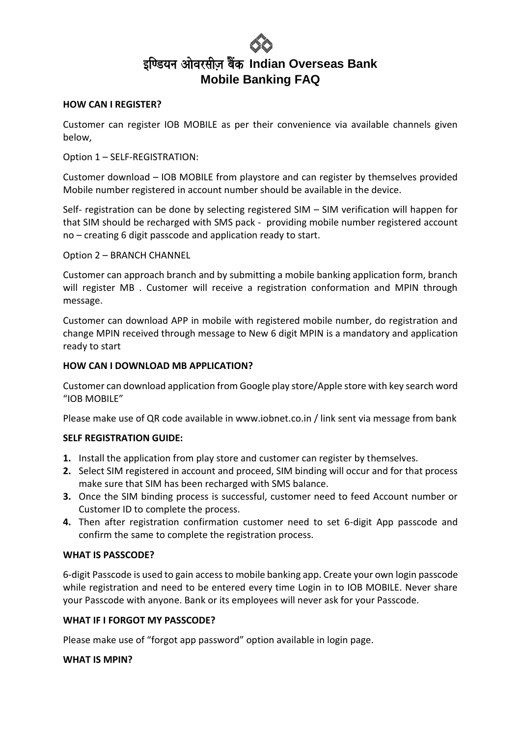#### **HOW CAN I REGISTER?**

Customer can register IOB MOBILE as per their convenience via available channels given below,

#### Option 1 – SELF-REGISTRATION:

Customer download – IOB MOBILE from playstore and can register by themselves provided Mobile number registered in account number should be available in the device.

Self- registration can be done by selecting registered SIM – SIM verification will happen for that SIM should be recharged with SMS pack - providing mobile number registered account no – creating 6 digit passcode and application ready to start.

Option 2 – BRANCH CHANNEL

Customer can approach branch and by submitting a mobile banking application form, branch will register MB . Customer will receive a registration conformation and MPIN through message.

Customer can download APP in mobile with registered mobile number, do registration and change MPIN received through message to New 6 digit MPIN is a mandatory and application ready to start

#### **HOW CAN I DOWNLOAD MB APPLICATION?**

Customer can download application from Google play store/Apple store with key search word "IOB MOBILE"

Please make use of QR code available in www.iobnet.co.in / link sent via message from bank

#### **SELF REGISTRATION GUIDE:**

- **1.** Install the application from play store and customer can register by themselves.
- **2.** Select SIM registered in account and proceed, SIM binding will occur and for that process make sure that SIM has been recharged with SMS balance.
- **3.** Once the SIM binding process is successful, customer need to feed Account number or Customer ID to complete the process.
- **4.** Then after registration confirmation customer need to set 6-digit App passcode and confirm the same to complete the registration process.

#### **WHAT IS PASSCODE?**

6-digit Passcode is used to gain access to mobile banking app. Create your own login passcode while registration and need to be entered every time Login in to IOB MOBILE. Never share your Passcode with anyone. Bank or its employees will never ask for your Passcode.

#### **WHAT IF I FORGOT MY PASSCODE?**

Please make use of "forgot app password" option available in login page.

#### **WHAT IS MPIN?**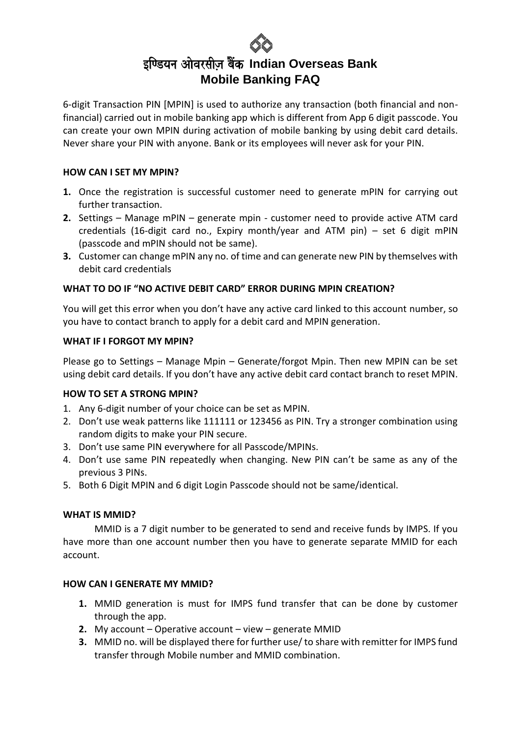6-digit Transaction PIN [MPIN] is used to authorize any transaction (both financial and nonfinancial) carried out in mobile banking app which is different from App 6 digit passcode. You can create your own MPIN during activation of mobile banking by using debit card details. Never share your PIN with anyone. Bank or its employees will never ask for your PIN.

#### **HOW CAN I SET MY MPIN?**

- **1.** Once the registration is successful customer need to generate mPIN for carrying out further transaction.
- **2.** Settings Manage mPIN generate mpin customer need to provide active ATM card credentials (16-digit card no., Expiry month/year and ATM pin) – set 6 digit mPIN (passcode and mPIN should not be same).
- **3.** Customer can change mPIN any no. of time and can generate new PIN by themselves with debit card credentials

#### **WHAT TO DO IF "NO ACTIVE DEBIT CARD" ERROR DURING MPIN CREATION?**

You will get this error when you don't have any active card linked to this account number, so you have to contact branch to apply for a debit card and MPIN generation.

#### **WHAT IF I FORGOT MY MPIN?**

Please go to Settings – Manage Mpin – Generate/forgot Mpin. Then new MPIN can be set using debit card details. If you don't have any active debit card contact branch to reset MPIN.

#### **HOW TO SET A STRONG MPIN?**

- 1. Any 6-digit number of your choice can be set as MPIN.
- 2. Don't use weak patterns like 111111 or 123456 as PIN. Try a stronger combination using random digits to make your PIN secure.
- 3. Don't use same PIN everywhere for all Passcode/MPINs.
- 4. Don't use same PIN repeatedly when changing. New PIN can't be same as any of the previous 3 PINs.
- 5. Both 6 Digit MPIN and 6 digit Login Passcode should not be same/identical.

#### **WHAT IS MMID?**

MMID is a 7 digit number to be generated to send and receive funds by IMPS. If you have more than one account number then you have to generate separate MMID for each account.

#### **HOW CAN I GENERATE MY MMID?**

- **1.** MMID generation is must for IMPS fund transfer that can be done by customer through the app.
- **2.** My account Operative account view generate MMID
- **3.** MMID no. will be displayed there for further use/ to share with remitter for IMPS fund transfer through Mobile number and MMID combination.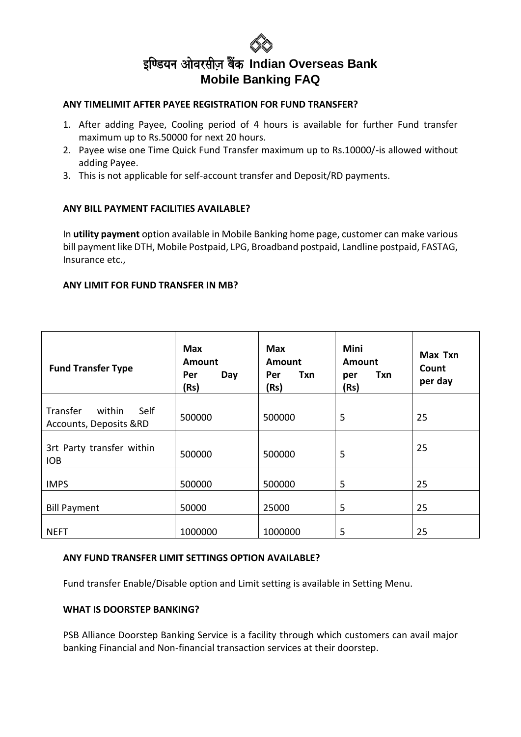#### **ANY TIMELIMIT AFTER PAYEE REGISTRATION FOR FUND TRANSFER?**

- 1. After adding Payee, Cooling period of 4 hours is available for further Fund transfer maximum up to Rs.50000 for next 20 hours.
- 2. Payee wise one Time Quick Fund Transfer maximum up to Rs.10000/-is allowed without adding Payee.
- 3. This is not applicable for self-account transfer and Deposit/RD payments.

#### **ANY BILL PAYMENT FACILITIES AVAILABLE?**

In **utility payment** option available in Mobile Banking home page, customer can make various bill payment like DTH, Mobile Postpaid, LPG, Broadband postpaid, Landline postpaid, FASTAG, Insurance etc.,

#### **ANY LIMIT FOR FUND TRANSFER IN MB?**

| <b>Fund Transfer Type</b>                         | <b>Max</b><br>Amount<br>Day<br>Per<br>(Rs) | Max<br>Amount<br>Txn<br>Per<br>(Rs) | Mini<br>Amount<br>Txn<br>per<br>(Rs) | Max Txn<br>Count<br>per day |
|---------------------------------------------------|--------------------------------------------|-------------------------------------|--------------------------------------|-----------------------------|
| Self<br>Transfer within<br>Accounts, Deposits &RD | 500000                                     | 500000                              | 5                                    | 25                          |
| 3rt Party transfer within<br><b>IOB</b>           | 500000                                     | 500000                              | 5                                    | 25                          |
| <b>IMPS</b>                                       | 500000                                     | 500000                              | 5                                    | 25                          |
| <b>Bill Payment</b>                               | 50000                                      | 25000                               | 5                                    | 25                          |
| <b>NEFT</b>                                       | 1000000                                    | 1000000                             | 5                                    | 25                          |

#### **ANY FUND TRANSFER LIMIT SETTINGS OPTION AVAILABLE?**

Fund transfer Enable/Disable option and Limit setting is available in Setting Menu.

#### **WHAT IS DOORSTEP BANKING?**

PSB Alliance Doorstep Banking Service is a facility through which customers can avail major banking Financial and Non-financial transaction services at their doorstep.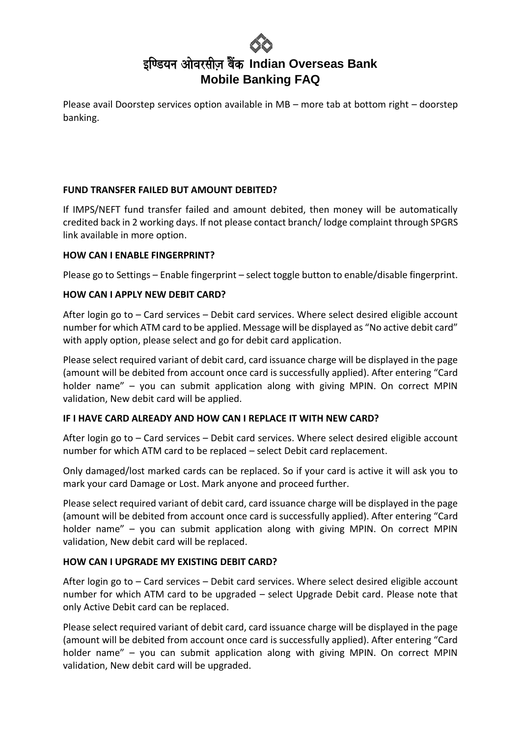Please avail Doorstep services option available in MB – more tab at bottom right – doorstep banking.

#### **FUND TRANSFER FAILED BUT AMOUNT DEBITED?**

If IMPS/NEFT fund transfer failed and amount debited, then money will be automatically credited back in 2 working days. If not please contact branch/ lodge complaint through SPGRS link available in more option.

#### **HOW CAN I ENABLE FINGERPRINT?**

Please go to Settings – Enable fingerprint – select toggle button to enable/disable fingerprint.

#### **HOW CAN I APPLY NEW DEBIT CARD?**

After login go to – Card services – Debit card services. Where select desired eligible account number for which ATM card to be applied. Message will be displayed as "No active debit card" with apply option, please select and go for debit card application.

Please select required variant of debit card, card issuance charge will be displayed in the page (amount will be debited from account once card is successfully applied). After entering "Card holder name" – you can submit application along with giving MPIN. On correct MPIN validation, New debit card will be applied.

#### **IF I HAVE CARD ALREADY AND HOW CAN I REPLACE IT WITH NEW CARD?**

After login go to – Card services – Debit card services. Where select desired eligible account number for which ATM card to be replaced – select Debit card replacement.

Only damaged/lost marked cards can be replaced. So if your card is active it will ask you to mark your card Damage or Lost. Mark anyone and proceed further.

Please select required variant of debit card, card issuance charge will be displayed in the page (amount will be debited from account once card is successfully applied). After entering "Card holder name" – you can submit application along with giving MPIN. On correct MPIN validation, New debit card will be replaced.

#### **HOW CAN I UPGRADE MY EXISTING DEBIT CARD?**

After login go to – Card services – Debit card services. Where select desired eligible account number for which ATM card to be upgraded – select Upgrade Debit card. Please note that only Active Debit card can be replaced.

Please select required variant of debit card, card issuance charge will be displayed in the page (amount will be debited from account once card is successfully applied). After entering "Card holder name" – you can submit application along with giving MPIN. On correct MPIN validation, New debit card will be upgraded.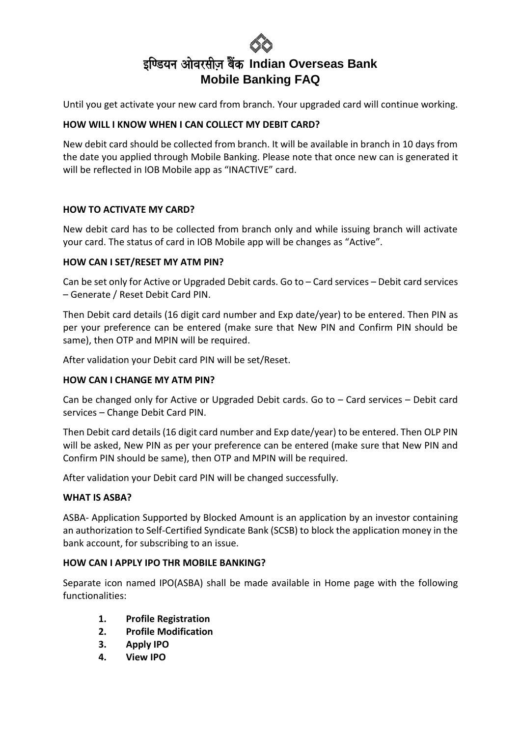Until you get activate your new card from branch. Your upgraded card will continue working.

#### **HOW WILL I KNOW WHEN I CAN COLLECT MY DEBIT CARD?**

New debit card should be collected from branch. It will be available in branch in 10 days from the date you applied through Mobile Banking. Please note that once new can is generated it will be reflected in IOB Mobile app as "INACTIVE" card.

#### **HOW TO ACTIVATE MY CARD?**

New debit card has to be collected from branch only and while issuing branch will activate your card. The status of card in IOB Mobile app will be changes as "Active".

#### **HOW CAN I SET/RESET MY ATM PIN?**

Can be set only for Active or Upgraded Debit cards. Go to – Card services – Debit card services – Generate / Reset Debit Card PIN.

Then Debit card details (16 digit card number and Exp date/year) to be entered. Then PIN as per your preference can be entered (make sure that New PIN and Confirm PIN should be same), then OTP and MPIN will be required.

After validation your Debit card PIN will be set/Reset.

#### **HOW CAN I CHANGE MY ATM PIN?**

Can be changed only for Active or Upgraded Debit cards. Go to – Card services – Debit card services – Change Debit Card PIN.

Then Debit card details (16 digit card number and Exp date/year) to be entered. Then OLP PIN will be asked, New PIN as per your preference can be entered (make sure that New PIN and Confirm PIN should be same), then OTP and MPIN will be required.

After validation your Debit card PIN will be changed successfully.

#### **WHAT IS ASBA?**

ASBA- Application Supported by Blocked Amount is an application by an investor containing an authorization to Self-Certified Syndicate Bank (SCSB) to block the application money in the bank account, for subscribing to an issue.

#### **HOW CAN I APPLY IPO THR MOBILE BANKING?**

Separate icon named IPO(ASBA) shall be made available in Home page with the following functionalities:

- **1. Profile Registration**
- **2. Profile Modification**
- **3. Apply IPO**
- **4. View IPO**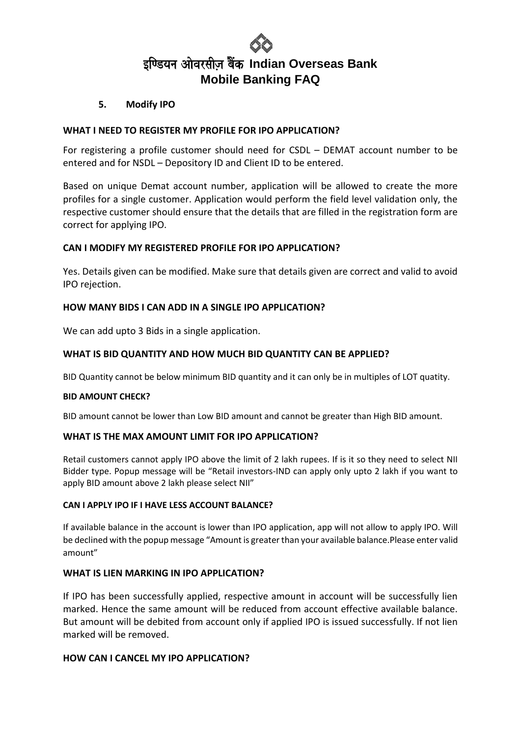

#### **5. Modify IPO**

#### **WHAT I NEED TO REGISTER MY PROFILE FOR IPO APPLICATION?**

For registering a profile customer should need for CSDL – DEMAT account number to be entered and for NSDL – Depository ID and Client ID to be entered.

Based on unique Demat account number, application will be allowed to create the more profiles for a single customer. Application would perform the field level validation only, the respective customer should ensure that the details that are filled in the registration form are correct for applying IPO.

#### **CAN I MODIFY MY REGISTERED PROFILE FOR IPO APPLICATION?**

Yes. Details given can be modified. Make sure that details given are correct and valid to avoid IPO rejection.

#### **HOW MANY BIDS I CAN ADD IN A SINGLE IPO APPLICATION?**

We can add upto 3 Bids in a single application.

#### **WHAT IS BID QUANTITY AND HOW MUCH BID QUANTITY CAN BE APPLIED?**

BID Quantity cannot be below minimum BID quantity and it can only be in multiples of LOT quatity.

#### **BID AMOUNT CHECK?**

BID amount cannot be lower than Low BID amount and cannot be greater than High BID amount.

#### **WHAT IS THE MAX AMOUNT LIMIT FOR IPO APPLICATION?**

Retail customers cannot apply IPO above the limit of 2 lakh rupees. If is it so they need to select NII Bidder type. Popup message will be "Retail investors-IND can apply only upto 2 lakh if you want to apply BID amount above 2 lakh please select NII"

#### **CAN I APPLY IPO IF I HAVE LESS ACCOUNT BALANCE?**

If available balance in the account is lower than IPO application, app will not allow to apply IPO. Will be declined with the popup message "Amount is greater than your available balance.Please enter valid amount"

#### **WHAT IS LIEN MARKING IN IPO APPLICATION?**

If IPO has been successfully applied, respective amount in account will be successfully lien marked. Hence the same amount will be reduced from account effective available balance. But amount will be debited from account only if applied IPO is issued successfully. If not lien marked will be removed.

#### **HOW CAN I CANCEL MY IPO APPLICATION?**